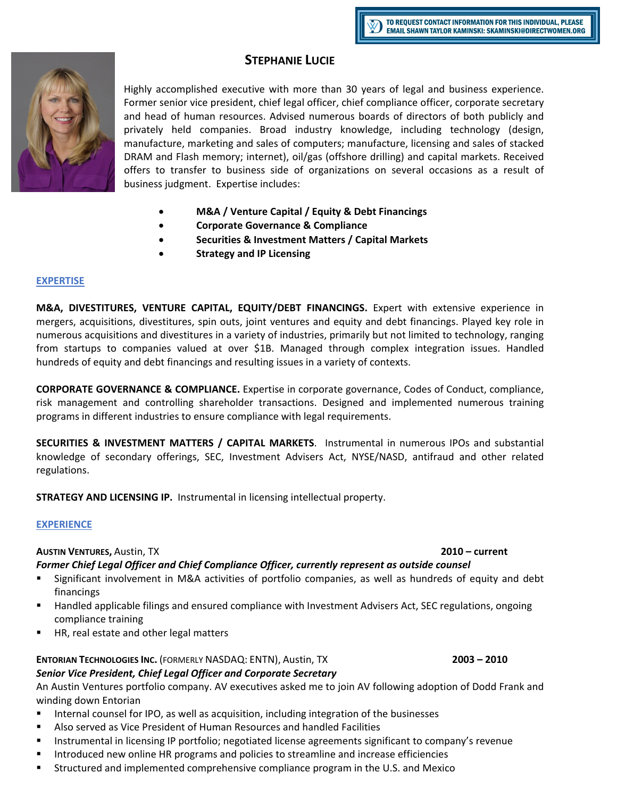# **STEPHANIE LUCIE**

Highly accomplished executive with more than 30 years of legal and business experience. Former senior vice president, chief legal officer, chief compliance officer, corporate secretary and head of human resources. Advised numerous boards of directors of both publicly and privately held companies. Broad industry knowledge, including technology (design, manufacture, marketing and sales of computers; manufacture, licensing and sales of stacked DRAM and Flash memory; internet), oil/gas (offshore drilling) and capital markets. Received offers to transfer to business side of organizations on several occasions as a result of business judgment. Expertise includes:

- **M&A / Venture Capital / Equity & Debt Financings**
- **Corporate Governance & Compliance**
- **Securities & Investment Matters / Capital Markets**
- **Strategy and IP Licensing**

## **EXPERTISE**

**M&A, DIVESTITURES, VENTURE CAPITAL, EQUITY/DEBT FINANCINGS.** Expert with extensive experience in mergers, acquisitions, divestitures, spin outs, joint ventures and equity and debt financings. Played key role in numerous acquisitions and divestitures in a variety of industries, primarily but not limited to technology, ranging from startups to companies valued at over \$1B. Managed through complex integration issues. Handled hundreds of equity and debt financings and resulting issues in a variety of contexts.

**CORPORATE GOVERNANCE & COMPLIANCE.** Expertise in corporate governance, Codes of Conduct, compliance, risk management and controlling shareholder transactions. Designed and implemented numerous training programs in different industries to ensure compliance with legal requirements.

**SECURITIES & INVESTMENT MATTERS / CAPITAL MARKETS**. Instrumental in numerous IPOs and substantial knowledge of secondary offerings, SEC, Investment Advisers Act, NYSE/NASD, antifraud and other related regulations.

**STRATEGY AND LICENSING IP.** Instrumental in licensing intellectual property.

## **EXPERIENCE**

## **AUSTIN VENTURES,** Austin, TX **2010 – current**

# *Former Chief Legal Officer and Chief Compliance Officer, currently represent as outside counsel*

- Significant involvement in M&A activities of portfolio companies, as well as hundreds of equity and debt financings
- Handled applicable filings and ensured compliance with Investment Advisers Act, SEC regulations, ongoing compliance training
- HR, real estate and other legal matters

# **ENTORIAN TECHNOLOGIES INC.** (FORMERLY NASDAQ: ENTN), Austin, TX **2003 – 2010**  *Senior Vice President, Chief Legal Officer and Corporate Secretary*

An Austin Ventures portfolio company. AV executives asked me to join AV following adoption of Dodd Frank and winding down Entorian

- Internal counsel for IPO, as well as acquisition, including integration of the businesses
- Also served as Vice President of Human Resources and handled Facilities
- Instrumental in licensing IP portfolio; negotiated license agreements significant to company's revenue
- Introduced new online HR programs and policies to streamline and increase efficiencies
- Structured and implemented comprehensive compliance program in the U.S. and Mexico

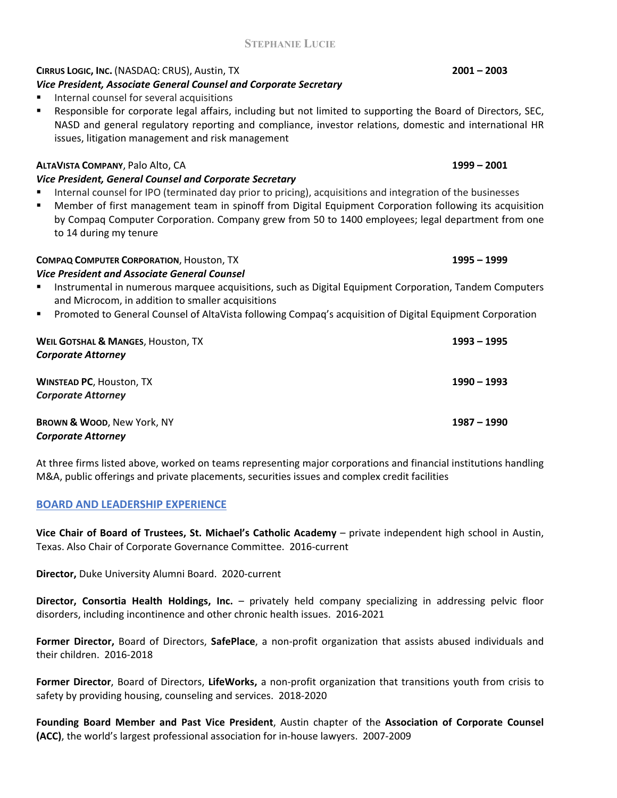# **STEPHANIE LUCIE**

# **CIRRUS LOGIC, INC.** (NASDAQ: CRUS), Austin, TX **2001 – 2003**

# *Vice President, Associate General Counsel and Corporate Secretary*

- Internal counsel for several acquisitions
- Responsible for corporate legal affairs, including but not limited to supporting the Board of Directors, SEC, NASD and general regulatory reporting and compliance, investor relations, domestic and international HR issues, litigation management and risk management

# **ALTAVISTA COMPANY**, Palo Alto, CA **1999 – 2001**

# *Vice President, General Counsel and Corporate Secretary*

 Internal counsel for IPO (terminated day prior to pricing), acquisitions and integration of the businesses Member of first management team in spinoff from Digital Equipment Corporation following its acquisition by Compaq Computer Corporation. Company grew from 50 to 1400 employees; legal department from one to 14 during my tenure

## **COMPAQ COMPUTER CORPORATION**, Houston, TX **1995 – 1999**

### *Vice President and Associate General Counsel*

- Instrumental in numerous marquee acquisitions, such as Digital Equipment Corporation, Tandem Computers and Microcom, in addition to smaller acquisitions
- **Promoted to General Counsel of AltaVista following Compaq's acquisition of Digital Equipment Corporation**

| <b>WEIL GOTSHAL &amp; MANGES, HOUSTON, TX</b><br><b>Corporate Attorney</b> | $1993 - 1995$ |
|----------------------------------------------------------------------------|---------------|
| <b>WINSTEAD PC, Houston, TX</b>                                            | $1990 - 1993$ |
| <b>Corporate Attorney</b>                                                  |               |
| <b>BROWN &amp; WOOD, New York, NY</b>                                      | 1987 – 1990   |
| <b>Corporate Attorney</b>                                                  |               |

At three firms listed above, worked on teams representing major corporations and financial institutions handling M&A, public offerings and private placements, securities issues and complex credit facilities

## **BOARD AND LEADERSHIP EXPERIENCE**

**Vice Chair of Board of Trustees, St. Michael's Catholic Academy** – private independent high school in Austin, Texas. Also Chair of Corporate Governance Committee. 2016-current

**Director,** Duke University Alumni Board. 2020-current

**Director, Consortia Health Holdings, Inc.** – privately held company specializing in addressing pelvic floor disorders, including incontinence and other chronic health issues. 2016-2021

**Former Director,** Board of Directors, **SafePlace**, a non-profit organization that assists abused individuals and their children. 2016-2018

**Former Director**, Board of Directors, **LifeWorks,** a non-profit organization that transitions youth from crisis to safety by providing housing, counseling and services. 2018-2020

**Founding Board Member and Past Vice President**, Austin chapter of the **Association of Corporate Counsel (ACC)**, the world's largest professional association for in-house lawyers. 2007-2009